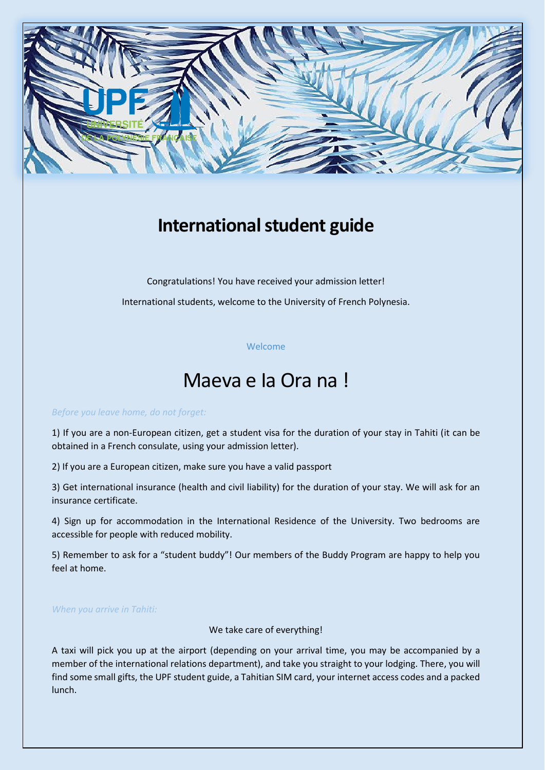

## **International student guide**

Congratulations! You have received your admission letter! International students, welcome to the University of French Polynesia.

## Welcome

# Maeva e Ia Ora na !

#### *Before you leave home, do not forget:*

1) If you are a non-European citizen, get a student visa for the duration of your stay in Tahiti (it can be obtained in a French consulate, using your admission letter).

2) If you are a European citizen, make sure you have a valid passport

3) Get international insurance (health and civil liability) for the duration of your stay. We will ask for an insurance certificate.

4) Sign up for accommodation in the International Residence of the University. Two bedrooms are accessible for people with reduced mobility.

5) Remember to ask for a "student buddy"! Our members of the Buddy Program are happy to help you feel at home.

## *When you arrive in Tahiti:*

We take care of everything!

A taxi will pick you up at the airport (depending on your arrival time, you may be accompanied by a member of the international relations department), and take you straight to your lodging. There, you will find some small gifts, the UPF student guide, a Tahitian SIM card, your internet access codes and a packed lunch.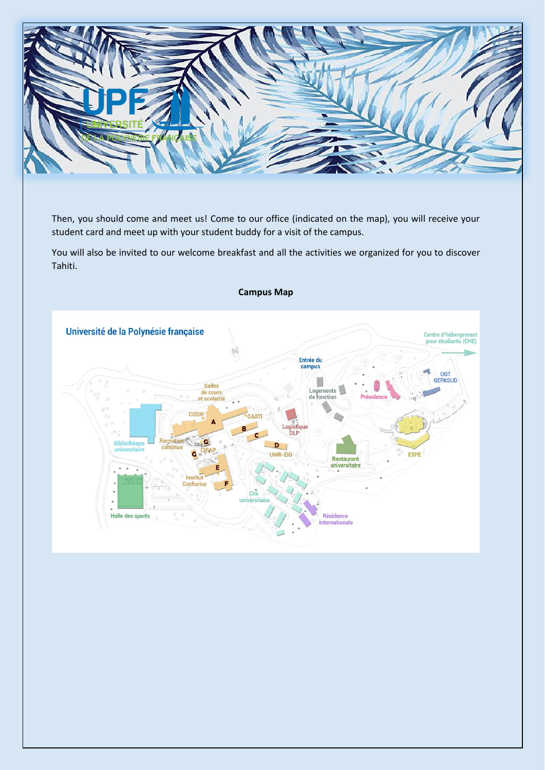

Then, you should come and meet us! Come to our office (indicated on the map), you will receive your student card and meet up with your student buddy for a visit of the campus.

You will also be invited to our welcome breakfast and all the activities we organized for you to discover Tahiti.

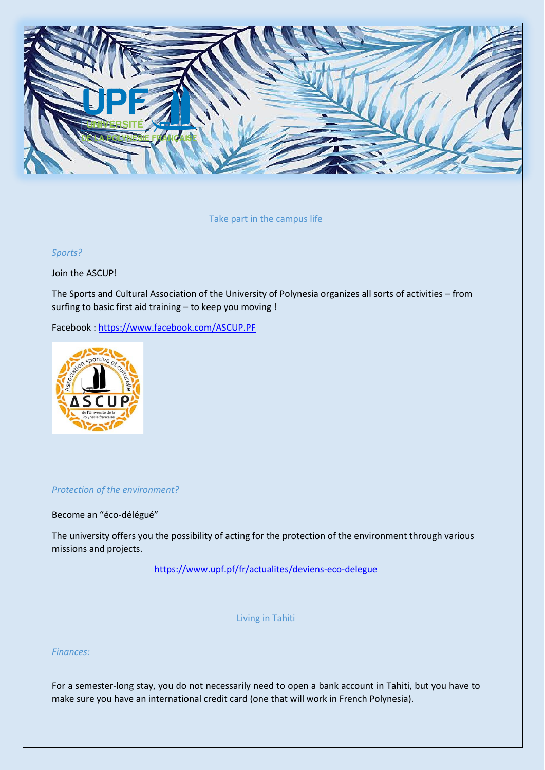

Take part in the campus life

*Sports?*

Join the ASCUP!

The Sports and Cultural Association of the University of Polynesia organizes all sorts of activities – from surfing to basic first aid training – to keep you moving !

Facebook :<https://www.facebook.com/ASCUP.PF>



#### *Protection of the environment?*

Become an "éco-délégué"

The university offers you the possibility of acting for the protection of the environment through various missions and projects.

<https://www.upf.pf/fr/actualites/deviens-eco-delegue>

Living in Tahiti

*Finances:*

For a semester-long stay, you do not necessarily need to open a bank account in Tahiti, but you have to make sure you have an international credit card (one that will work in French Polynesia).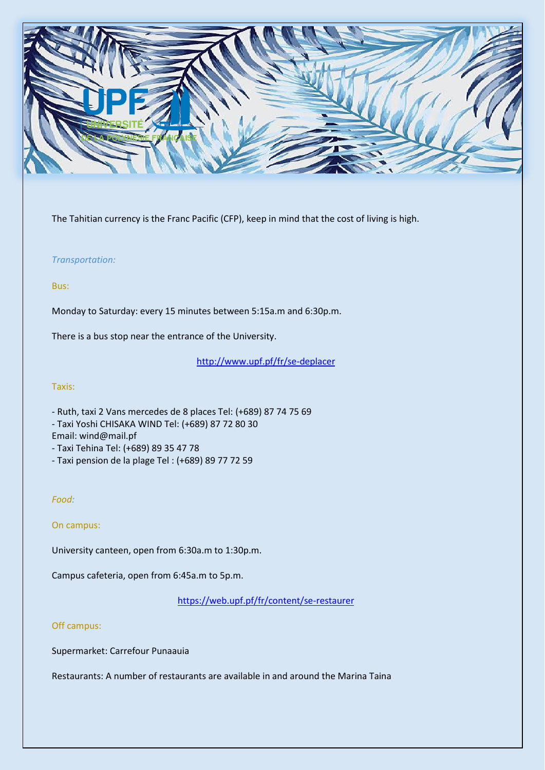

The Tahitian currency is the Franc Pacific (CFP), keep in mind that the cost of living is high.

## *Transportation:*

## Bus:

Monday to Saturday: every 15 minutes between 5:15a.m and 6:30p.m.

There is a bus stop near the entrance of the University.

<http://www.upf.pf/fr/se-deplacer>

#### Taxis:

- Ruth, taxi 2 Vans mercedes de 8 places Tel: (+689) 87 74 75 69
- Taxi Yoshi CHISAKA WIND Tel: (+689) 87 72 80 30

Email: wind@mail.pf

- Taxi Tehina Tel: (+689) 89 35 47 78
- Taxi pension de la plage Tel : (+689) 89 77 72 59

## *Food:*

#### On campus:

University canteen, open from 6:30a.m to 1:30p.m.

Campus cafeteria, open from 6:45a.m to 5p.m.

<https://web.upf.pf/fr/content/se-restaurer>

#### Off campus:

Supermarket: Carrefour Punaauia

Restaurants: A number of restaurants are available in and around the Marina Taina